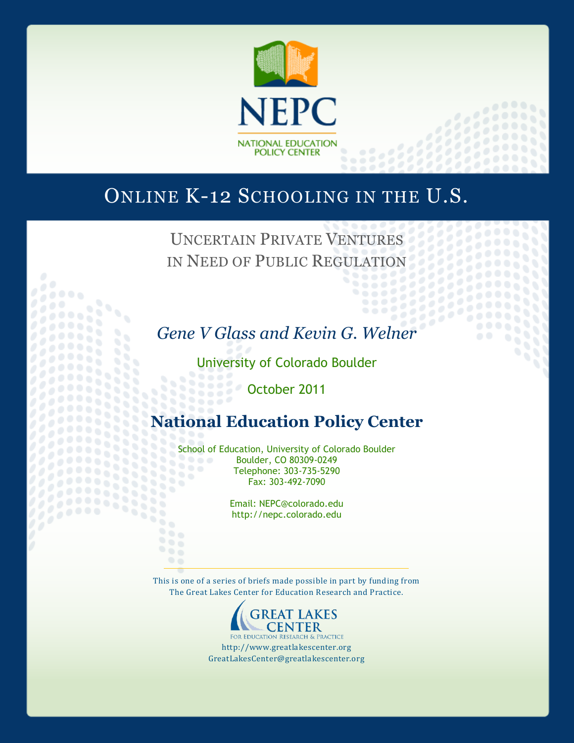

## ONLINE K-12 SCHOOLING IN THE U.S.

UNCERTAIN PRIVATE VENTURES IN NEED OF PUBLIC REGULATION

33 33

 $\frac{1}{2}$ 

 $\sigma$ 

99

1111

*Gene V Glass and Kevin G. Welner*

University of Colorado Boulder 9666

October 2011

33332 888

 $\ddot{\phantom{a}}$ 

69

## **National Education Policy Center**

School of Education, University of Colorado Boulder<br>Boulder, CO 80309-0249<br>Education: 203-735-5290 Boulder, CO 80309-0249 Telephone: 303-735-5290 88 88 Fax: 303-492-7090

> Email: NEPC@colorado.edu http://nepc.colorado.edu

This is one of a series of briefs made possible in part by funding from The Great Lakes Center for Education Research and Practice.



FOR EDUCATION RESEARCH & PRACTICE http://www.greatlakescenter.org GreatLakesCenter@greatlakescenter.org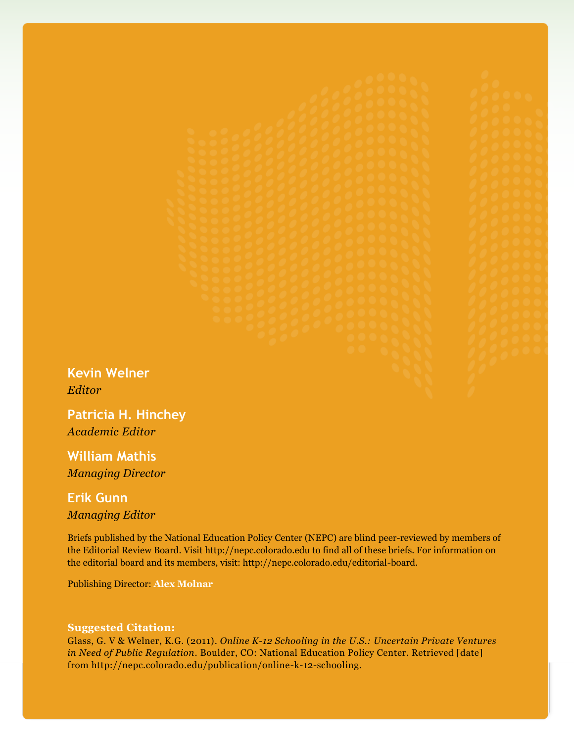**Kevin Welner** *Editor*

**Patricia H. Hinchey** *Academic Editor*

**William Mathis** *Managing Director*

# **Erik Gunn**

*Managing Editor*

Briefs published by the National Education Policy Center (NEPC) are blind peer-reviewed by members of the Editorial Review Board. Visit http://nepc.colorado.edu to find all of these briefs. For information on the editorial board and its members, visit: http://nepc.colorado.edu/editorial-board.

Publishing Director: **Alex Molnar**

#### **Suggested Citation:**

Glass, G. V & Welner, K.G. (2011). *Online K-12 Schooling in the U.S.: Uncertain Private Ventures in Need of Public Regulation*. Boulder, CO: National Education Policy Center. Retrieved [date] from http://nepc.colorado.edu/publication/online-k-12-schooling.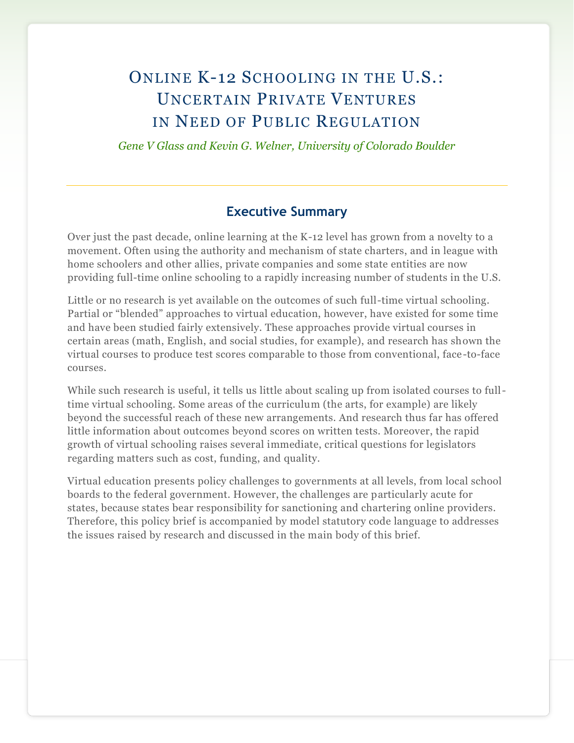## ONLINE K-12 SCHOOLING IN THE U.S.: UNCERTAIN PRIVATE VENTURES IN NEED OF PUBLIC REGULATION

*Gene V Glass and Kevin G. Welner, University of Colorado Boulder*

#### **Executive Summary**

Over just the past decade, online learning at the K-12 level has grown from a novelty to a movement. Often using the authority and mechanism of state charters, and in league with home schoolers and other allies, private companies and some state entities are now providing full-time online schooling to a rapidly increasing number of students in the U.S.

Little or no research is yet available on the outcomes of such full-time virtual schooling. Partial or "blended" approaches to virtual education, however, have existed for some time and have been studied fairly extensively. These approaches provide virtual courses in certain areas (math, English, and social studies, for example), and research has shown the virtual courses to produce test scores comparable to those from conventional, face-to-face courses.

While such research is useful, it tells us little about scaling up from isolated courses to fulltime virtual schooling. Some areas of the curriculum (the arts, for example) are likely beyond the successful reach of these new arrangements. And research thus far has offered little information about outcomes beyond scores on written tests. Moreover, the rapid growth of virtual schooling raises several immediate, critical questions for legislators regarding matters such as cost, funding, and quality.

Virtual education presents policy challenges to governments at all levels, from local school boards to the federal government. However, the challenges are particularly acute for states, because states bear responsibility for sanctioning and chartering online providers. Therefore, this policy brief is accompanied by model statutory code language to addresses the issues raised by research and discussed in the main body of this brief.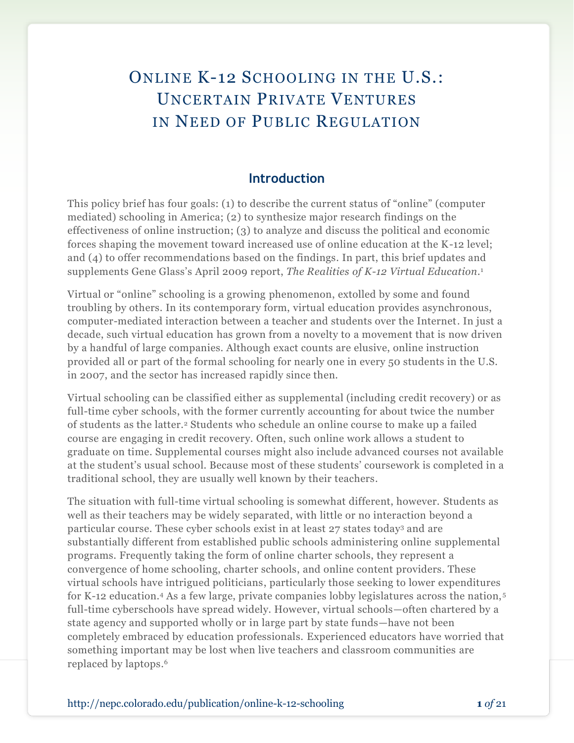## ONLINE K-12 SCHOOLING IN THE U.S.: UNCERTAIN PRIVATE VENTURES IN NEED OF PUBLIC REGULATION

#### **Introduction**

This policy brief has four goals: (1) to describe the current status of "online" (computer mediated) schooling in America; (2) to synthesize major research findings on the effectiveness of online instruction; (3) to analyze and discuss the political and economic forces shaping the movement toward increased use of online education at the K-12 level; and (4) to offer recommendations based on the findings. In part, this brief updates and supplements Gene Glass's April 2009 report, *The Realities of K-12 Virtual Education*. 1

Virtual or "online" schooling is a growing phenomenon, extolled by some and found troubling by others. In its contemporary form, virtual education provides asynchronous, computer-mediated interaction between a teacher and students over the Internet. In just a decade, such virtual education has grown from a novelty to a movement that is now driven by a handful of large companies. Although exact counts are elusive, online instruction provided all or part of the formal schooling for nearly one in every 50 students in the U.S. in 2007, and the sector has increased rapidly since then.

Virtual schooling can be classified either as supplemental (including credit recovery) or as full-time cyber schools, with the former currently accounting for about twice the number of students as the latter.<sup>2</sup> Students who schedule an online course to make up a failed course are engaging in credit recovery. Often, such online work allows a student to graduate on time. Supplemental courses might also include advanced courses not available at the student's usual school. Because most of these students' coursework is completed in a traditional school, they are usually well known by their teachers.

The situation with full-time virtual schooling is somewhat different, however. Students as well as their teachers may be widely separated, with little or no interaction beyond a particular course. These cyber schools exist in at least 27 states today<sup>3</sup> and are substantially different from established public schools administering online supplemental programs. Frequently taking the form of online charter schools, they represent a convergence of home schooling, charter schools, and online content providers. These virtual schools have intrigued politicians, particularly those seeking to lower expenditures for K-12 education.<sup>4</sup> As a few large, private companies lobby legislatures across the nation,<sup>5</sup> full-time cyberschools have spread widely. However, virtual schools—often chartered by a state agency and supported wholly or in large part by state funds—have not been completely embraced by education professionals. Experienced educators have worried that something important may be lost when live teachers and classroom communities are replaced by laptops. 6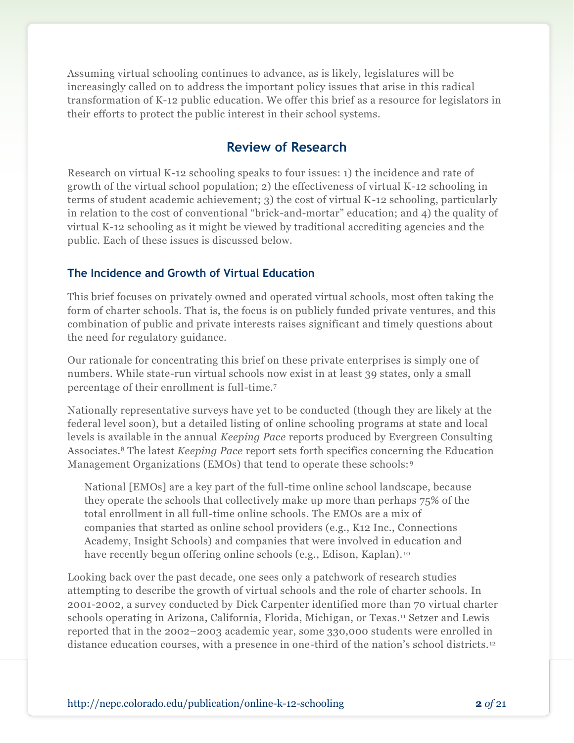Assuming virtual schooling continues to advance, as is likely, legislatures will be increasingly called on to address the important policy issues that arise in this radical transformation of K-12 public education. We offer this brief as a resource for legislators in their efforts to protect the public interest in their school systems.

### **Review of Research**

Research on virtual K-12 schooling speaks to four issues: 1) the incidence and rate of growth of the virtual school population; 2) the effectiveness of virtual K-12 schooling in terms of student academic achievement; 3) the cost of virtual K-12 schooling, particularly in relation to the cost of conventional "brick-and-mortar" education; and  $\phi$ ) the quality of virtual K-12 schooling as it might be viewed by traditional accrediting agencies and the public. Each of these issues is discussed below.

#### **The Incidence and Growth of Virtual Education**

This brief focuses on privately owned and operated virtual schools, most often taking the form of charter schools. That is, the focus is on publicly funded private ventures, and this combination of public and private interests raises significant and timely questions about the need for regulatory guidance.

Our rationale for concentrating this brief on these private enterprises is simply one of numbers. While state-run virtual schools now exist in at least 39 states, only a small percentage of their enrollment is full-time.<sup>7</sup>

Nationally representative surveys have yet to be conducted (though they are likely at the federal level soon), but a detailed listing of online schooling programs at state and local levels is available in the annual *Keeping Pace* reports produced by Evergreen Consulting Associates.<sup>8</sup> The latest *Keeping Pace* report sets forth specifics concerning the Education Management Organizations (EMOs) that tend to operate these schools:<sup>9</sup>

National [EMOs] are a key part of the full-time online school landscape, because they operate the schools that collectively make up more than perhaps 75% of the total enrollment in all full-time online schools. The EMOs are a mix of companies that started as online school providers (e.g., K12 Inc., Connections Academy, Insight Schools) and companies that were involved in education and have recently begun offering online schools (e.g., Edison, Kaplan).<sup>10</sup>

Looking back over the past decade, one sees only a patchwork of research studies attempting to describe the growth of virtual schools and the role of charter schools. In 2001-2002, a survey conducted by Dick Carpenter identified more than 70 virtual charter schools operating in Arizona, California, Florida, Michigan, or Texas.<sup>11</sup> Setzer and Lewis reported that in the 2002–2003 academic year, some 330,000 students were enrolled in distance education courses, with a presence in one-third of the nation's school districts.12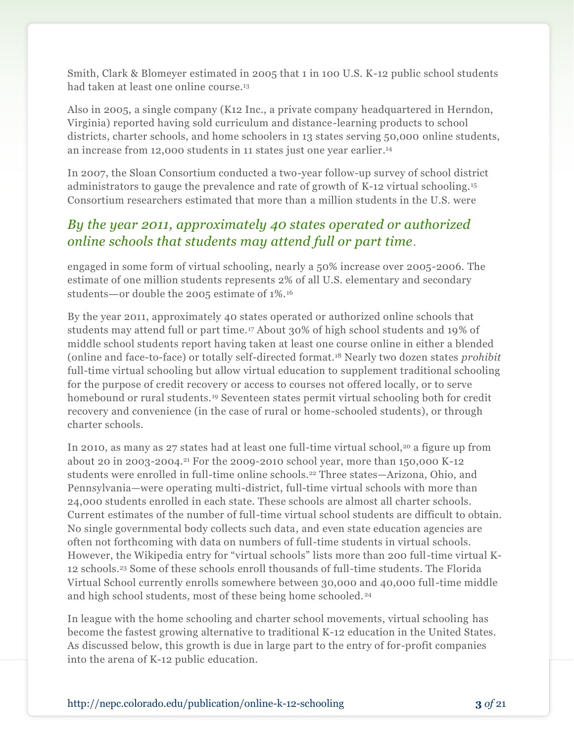Smith, Clark & Blomeyer estimated in 2005 that 1 in 100 U.S. K-12 public school students had taken at least one online course. 13

Also in 2005, a single company (K12 Inc., a private company headquartered in Herndon, Virginia) reported having sold curriculum and distance-learning products to school districts, charter schools, and home schoolers in 13 states serving 50,000 online students, an increase from 12,000 students in 11 states just one year earlier. 14

In 2007, the Sloan Consortium conducted a two-year follow-up survey of school district administrators to gauge the prevalence and rate of growth of K-12 virtual schooling.<sup>15</sup> Consortium researchers estimated that more than a million students in the U.S. were

### *By the year 2011, approximately 40 states operated or authorized online schools that students may attend full or part time*.

engaged in some form of virtual schooling, nearly a 50% increase over 2005-2006. The estimate of one million students represents 2% of all U.S. elementary and secondary students—or double the 2005 estimate of 1%.<sup>16</sup>

By the year 2011, approximately 40 states operated or authorized online schools that students may attend full or part time.<sup>17</sup> About 30% of high school students and 19% of middle school students report having taken at least one course online in either a blended (online and face-to-face) or totally self-directed format.<sup>18</sup> Nearly two dozen states *prohibit* full-time virtual schooling but allow virtual education to supplement traditional schooling for the purpose of credit recovery or access to courses not offered locally, or to serve homebound or rural students.<sup>19</sup> Seventeen states permit virtual schooling both for credit recovery and convenience (in the case of rural or home-schooled students), or through charter schools.

In 2010, as many as 27 states had at least one full-time virtual school,<sup>20</sup> a figure up from about 20 in 2003-2004.<sup>21</sup> For the 2009-2010 school year, more than 150,000 K-12 students were enrolled in full-time online schools.<sup>22</sup> Three states—Arizona, Ohio, and Pennsylvania—were operating multi-district, full-time virtual schools with more than 24,000 students enrolled in each state. These schools are almost all charter schools. Current estimates of the number of full-time virtual school students are difficult to obtain. No single governmental body collects such data, and even state education agencies are often not forthcoming with data on numbers of full-time students in virtual schools. However, the Wikipedia entry for "virtual schools" lists more than 200 full-time virtual K-12 schools.<sup>23</sup> Some of these schools enroll thousands of full-time students. The Florida Virtual School currently enrolls somewhere between 30,000 and 40,000 full-time middle and high school students, most of these being home schooled.<sup>24</sup>

In league with the home schooling and charter school movements, virtual schooling has become the fastest growing alternative to traditional K-12 education in the United States. As discussed below, this growth is due in large part to the entry of for-profit companies into the arena of K-12 public education.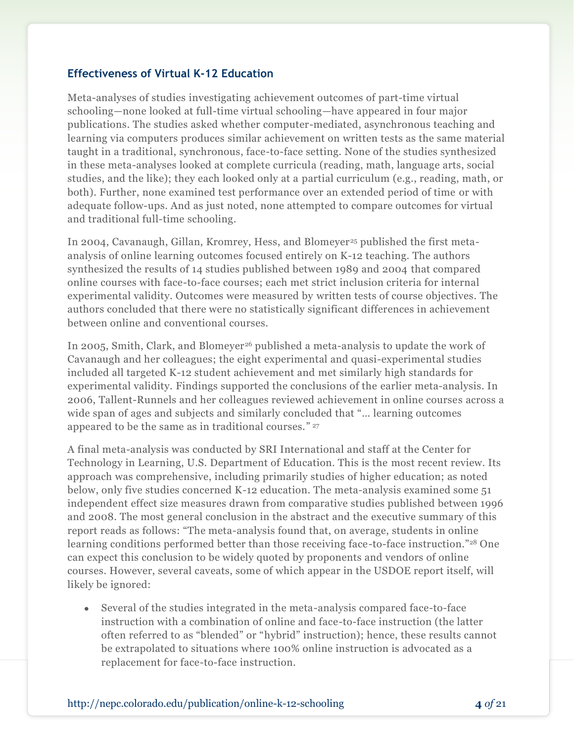#### **Effectiveness of Virtual K-12 Education**

Meta-analyses of studies investigating achievement outcomes of part-time virtual schooling—none looked at full-time virtual schooling—have appeared in four major publications. The studies asked whether computer-mediated, asynchronous teaching and learning via computers produces similar achievement on written tests as the same material taught in a traditional, synchronous, face-to-face setting. None of the studies synthesized in these meta-analyses looked at complete curricula (reading, math, language arts, social studies, and the like); they each looked only at a partial curriculum (e.g., reading, math, or both). Further, none examined test performance over an extended period of time or with adequate follow-ups. And as just noted, none attempted to compare outcomes for virtual and traditional full-time schooling.

In 2004, Cavanaugh, Gillan, Kromrey, Hess, and Blomeyer<sup>25</sup> published the first metaanalysis of online learning outcomes focused entirely on K-12 teaching. The authors synthesized the results of 14 studies published between 1989 and 2004 that compared online courses with face-to-face courses; each met strict inclusion criteria for internal experimental validity. Outcomes were measured by written tests of course objectives. The authors concluded that there were no statistically significant differences in achievement between online and conventional courses.

In 2005, Smith, Clark, and Blomeyer<sup>26</sup> published a meta-analysis to update the work of Cavanaugh and her colleagues; the eight experimental and quasi-experimental studies included all targeted K-12 student achievement and met similarly high standards for experimental validity. Findings supported the conclusions of the earlier meta-analysis. In 2006, Tallent-Runnels and her colleagues reviewed achievement in online courses across a wide span of ages and subjects and similarly concluded that "... learning outcomes appeared to be the same as in traditional courses." <sup>27</sup>

A final meta-analysis was conducted by SRI International and staff at the Center for Technology in Learning, U.S. Department of Education. This is the most recent review. Its approach was comprehensive, including primarily studies of higher education; as noted below, only five studies concerned K-12 education. The meta-analysis examined some 51 independent effect size measures drawn from comparative studies published between 1996 and 2008. The most general conclusion in the abstract and the executive summary of this report reads as follows: "The meta-analysis found that, on average, students in online learning conditions performed better than those receiving face-to-face instruction."<sup>28</sup> One can expect this conclusion to be widely quoted by proponents and vendors of online courses. However, several caveats, some of which appear in the USDOE report itself, will likely be ignored:

Several of the studies integrated in the meta-analysis compared face-to-face instruction with a combination of online and face-to-face instruction (the latter often referred to as "blended" or "hybrid" instruction); hence, these results cannot be extrapolated to situations where 100% online instruction is advocated as a replacement for face-to-face instruction.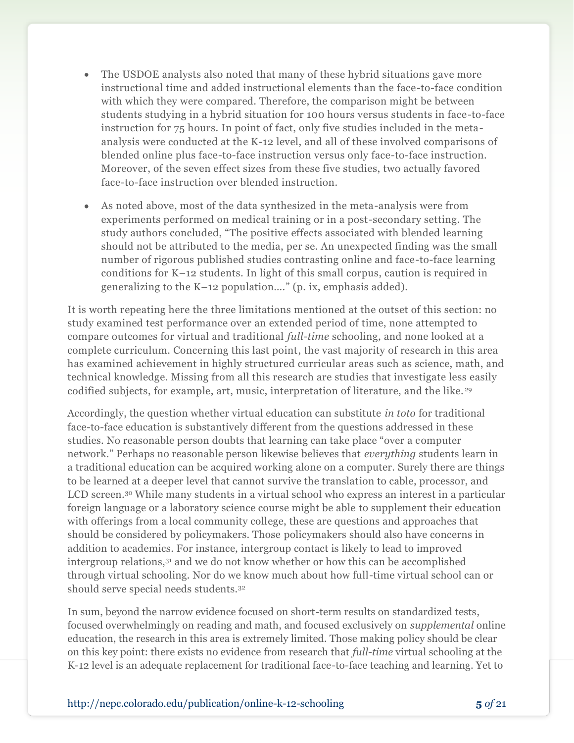- The USDOE analysts also noted that many of these hybrid situations gave more  $\bullet$ instructional time and added instructional elements than the face-to-face condition with which they were compared. Therefore, the comparison might be between students studying in a hybrid situation for 100 hours versus students in face-to-face instruction for 75 hours. In point of fact, only five studies included in the metaanalysis were conducted at the K-12 level, and all of these involved comparisons of blended online plus face-to-face instruction versus only face-to-face instruction. Moreover, of the seven effect sizes from these five studies, two actually favored face-to-face instruction over blended instruction.
- As noted above, most of the data synthesized in the meta-analysis were from experiments performed on medical training or in a post-secondary setting. The study authors concluded, "The positive effects associated with blended learning should not be attributed to the media, per se. An unexpected finding was the small number of rigorous published studies contrasting online and face-to-face learning conditions for K–12 students. In light of this small corpus, caution is required in generalizing to the  $K-12$  population...." (p. ix, emphasis added).

It is worth repeating here the three limitations mentioned at the outset of this section: no study examined test performance over an extended period of time, none attempted to compare outcomes for virtual and traditional *full-time* schooling, and none looked at a complete curriculum. Concerning this last point, the vast majority of research in this area has examined achievement in highly structured curricular areas such as science, math, and technical knowledge. Missing from all this research are studies that investigate less easily codified subjects, for example, art, music, interpretation of literature, and the like. <sup>29</sup>

Accordingly, the question whether virtual education can substitute *in toto* for traditional face-to-face education is substantively different from the questions addressed in these studies. No reasonable person doubts that learning can take place "over a computer" network.‖ Perhaps no reasonable person likewise believes that *everything* students learn in a traditional education can be acquired working alone on a computer. Surely there are things to be learned at a deeper level that cannot survive the translation to cable, processor, and LCD screen.<sup>30</sup> While many students in a virtual school who express an interest in a particular foreign language or a laboratory science course might be able to supplement their education with offerings from a local community college, these are questions and approaches that should be considered by policymakers. Those policymakers should also have concerns in addition to academics. For instance, intergroup contact is likely to lead to improved intergroup relations,<sup>31</sup> and we do not know whether or how this can be accomplished through virtual schooling. Nor do we know much about how full-time virtual school can or should serve special needs students.<sup>32</sup>

In sum, beyond the narrow evidence focused on short-term results on standardized tests, focused overwhelmingly on reading and math, and focused exclusively on *supplemental* online education, the research in this area is extremely limited. Those making policy should be clear on this key point: there exists no evidence from research that *full-time* virtual schooling at the K-12 level is an adequate replacement for traditional face-to-face teaching and learning. Yet to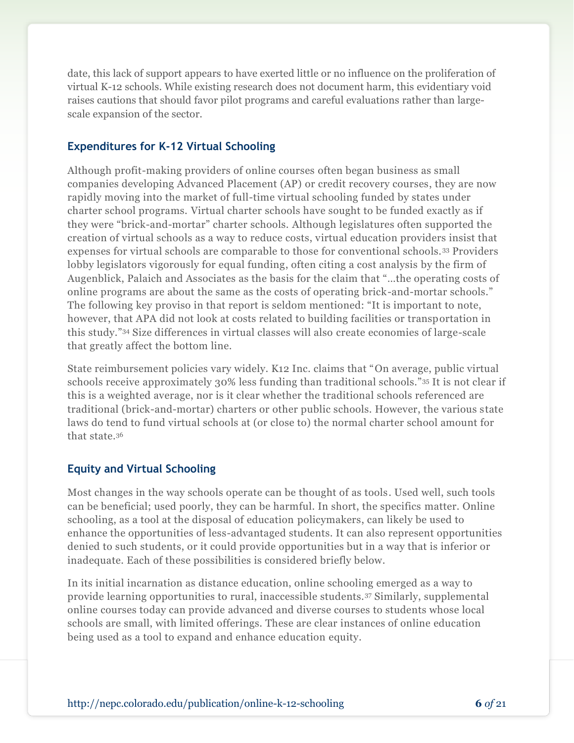date, this lack of support appears to have exerted little or no influence on the proliferation of virtual K-12 schools. While existing research does not document harm, this evidentiary void raises cautions that should favor pilot programs and careful evaluations rather than largescale expansion of the sector.

#### **Expenditures for K-12 Virtual Schooling**

Although profit-making providers of online courses often began business as small companies developing Advanced Placement (AP) or credit recovery courses, they are now rapidly moving into the market of full-time virtual schooling funded by states under charter school programs. Virtual charter schools have sought to be funded exactly as if they were "brick-and-mortar" charter schools. Although legislatures often supported the creation of virtual schools as a way to reduce costs, virtual education providers insist that expenses for virtual schools are comparable to those for conventional schools.<sup>33</sup> Providers lobby legislators vigorously for equal funding, often citing a cost analysis by the firm of Augenblick, Palaich and Associates as the basis for the claim that "...the operating costs of online programs are about the same as the costs of operating brick-and-mortar schools." The following key proviso in that report is seldom mentioned: "It is important to note, however, that APA did not look at costs related to building facilities or transportation in this study.‖<sup>34</sup> Size differences in virtual classes will also create economies of large-scale that greatly affect the bottom line.

State reimbursement policies vary widely. K12 Inc. claims that "On average, public virtual" schools receive approximately 30% less funding than traditional schools."35 It is not clear if this is a weighted average, nor is it clear whether the traditional schools referenced are traditional (brick-and-mortar) charters or other public schools. However, the various state laws do tend to fund virtual schools at (or close to) the normal charter school amount for that state.<sup>36</sup>

#### **Equity and Virtual Schooling**

Most changes in the way schools operate can be thought of as tools. Used well, such tools can be beneficial; used poorly, they can be harmful. In short, the specifics matter. Online schooling, as a tool at the disposal of education policymakers, can likely be used to enhance the opportunities of less-advantaged students. It can also represent opportunities denied to such students, or it could provide opportunities but in a way that is inferior or inadequate. Each of these possibilities is considered briefly below.

In its initial incarnation as distance education, online schooling emerged as a way to provide learning opportunities to rural, inaccessible students.<sup>37</sup> Similarly, supplemental online courses today can provide advanced and diverse courses to students whose local schools are small, with limited offerings. These are clear instances of online education being used as a tool to expand and enhance education equity.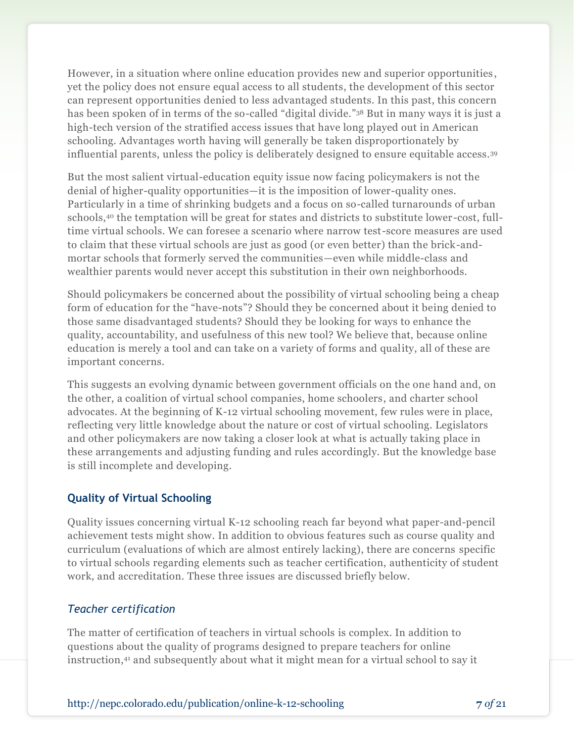However, in a situation where online education provides new and superior opportunities , yet the policy does not ensure equal access to all students, the development of this sector can represent opportunities denied to less advantaged students. In this past, this concern has been spoken of in terms of the so-called "digital divide."<sup>38</sup> But in many ways it is just a high-tech version of the stratified access issues that have long played out in American schooling. Advantages worth having will generally be taken disproportionately by influential parents, unless the policy is deliberately designed to ensure equitable access.<sup>39</sup>

But the most salient virtual-education equity issue now facing policymakers is not the denial of higher-quality opportunities—it is the imposition of lower-quality ones. Particularly in a time of shrinking budgets and a focus on so-called turnarounds of urban schools,<sup>40</sup> the temptation will be great for states and districts to substitute lower -cost, fulltime virtual schools. We can foresee a scenario where narrow test-score measures are used to claim that these virtual schools are just as good (or even better) than the brick-andmortar schools that formerly served the communities—even while middle-class and wealthier parents would never accept this substitution in their own neighborhoods.

Should policymakers be concerned about the possibility of virtual schooling being a cheap form of education for the "have-nots"? Should they be concerned about it being denied to those same disadvantaged students? Should they be looking for ways to enhance the quality, accountability, and usefulness of this new tool? We believe that, because online education is merely a tool and can take on a variety of forms and quality, all of these are important concerns.

This suggests an evolving dynamic between government officials on the one hand and, on the other, a coalition of virtual school companies, home schoolers, and charter school advocates. At the beginning of K-12 virtual schooling movement, few rules were in place, reflecting very little knowledge about the nature or cost of virtual schooling. Legislators and other policymakers are now taking a closer look at what is actually taking place in these arrangements and adjusting funding and rules accordingly. But the knowledge base is still incomplete and developing.

#### **Quality of Virtual Schooling**

Quality issues concerning virtual K-12 schooling reach far beyond what paper-and-pencil achievement tests might show. In addition to obvious features such as course quality and curriculum (evaluations of which are almost entirely lacking), there are concerns specific to virtual schools regarding elements such as teacher certification, authenticity of student work, and accreditation. These three issues are discussed briefly below.

#### *Teacher certification*

The matter of certification of teachers in virtual schools is complex. In addition to questions about the quality of programs designed to prepare teachers for online instruction, <sup>41</sup> and subsequently about what it might mean for a virtual school to say it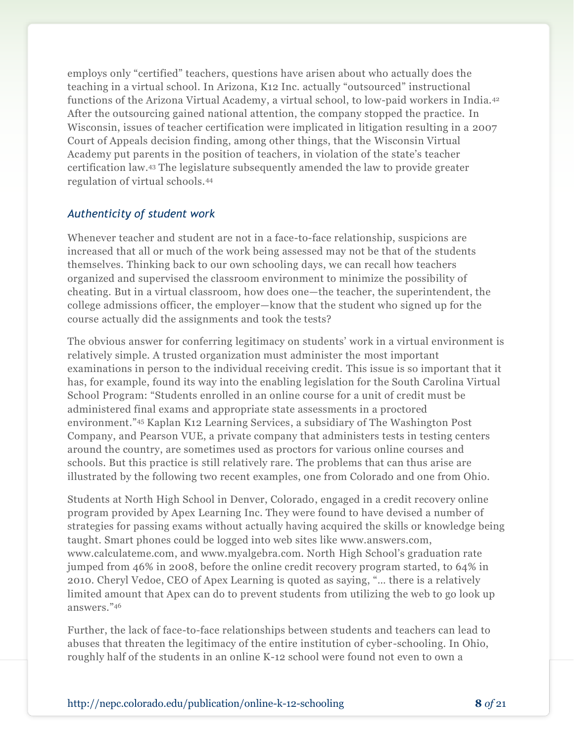employs only "certified" teachers, questions have arisen about who actually does the teaching in a virtual school. In Arizona, K12 Inc. actually "outsourced" instructional functions of the Arizona Virtual Academy, a virtual school, to low-paid workers in India.<sup>42</sup> After the outsourcing gained national attention, the company stopped the practice. In Wisconsin, issues of teacher certification were implicated in litigation resulting in a 2007 Court of Appeals decision finding, among other things, that the Wisconsin Virtual Academy put parents in the position of teachers, in violation of the state's teacher certification law. <sup>43</sup> The legislature subsequently amended the law to provide greater regulation of virtual schools.<sup>44</sup>

#### *Authenticity of student work*

Whenever teacher and student are not in a face-to-face relationship, suspicions are increased that all or much of the work being assessed may not be that of the students themselves. Thinking back to our own schooling days, we can recall how teachers organized and supervised the classroom environment to minimize the possibility of cheating. But in a virtual classroom, how does one—the teacher, the superintendent, the college admissions officer, the employer—know that the student who signed up for the course actually did the assignments and took the tests?

The obvious answer for conferring legitimacy on students' work in a virtual environment is relatively simple. A trusted organization must administer the most important examinations in person to the individual receiving credit. This issue is so important that it has, for example, found its way into the enabling legislation for the South Carolina Virtual School Program: "Students enrolled in an online course for a unit of credit must be administered final exams and appropriate state assessments in a proctored environment."45 Kaplan K12 Learning Services, a subsidiary of The Washington Post Company, and Pearson VUE, a private company that administers tests in testing centers around the country, are sometimes used as proctors for various online courses and schools. But this practice is still relatively rare. The problems that can thus arise are illustrated by the following two recent examples, one from Colorado and one from Ohio.

Students at North High School in Denver, Colorado, engaged in a credit recovery online program provided by Apex Learning Inc. They were found to have devised a number of strategies for passing exams without actually having acquired the skills or knowledge being taught. Smart phones could be logged into web sites like www.answers.com, www.calculateme.com, and www.myalgebra.com. North High School's graduation rate jumped from 46% in 2008, before the online credit recovery program started, to 64% in 2010. Cheryl Vedoe, CEO of Apex Learning is quoted as saying, "... there is a relatively limited amount that Apex can do to prevent students from utilizing the web to go look up answers."46

Further, the lack of face-to-face relationships between students and teachers can lead to abuses that threaten the legitimacy of the entire institution of cyber-schooling. In Ohio, roughly half of the students in an online K-12 school were found not even to own a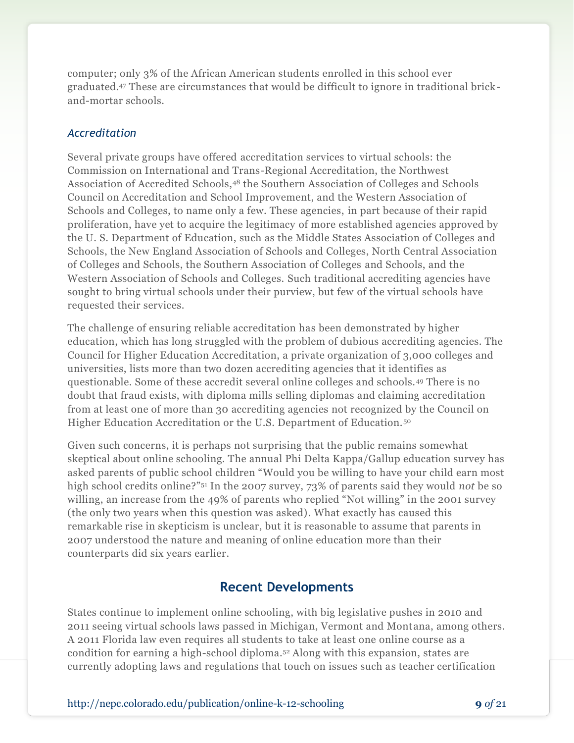computer; only 3% of the African American students enrolled in this school ever graduated.<sup>47</sup> These are circumstances that would be difficult to ignore in traditional brickand-mortar schools.

#### *Accreditation*

Several private groups have offered accreditation services to virtual schools: the Commission on International and Trans-Regional Accreditation, the Northwest Association of Accredited Schools,<sup>48</sup> the Southern Association of Colleges and Schools Council on Accreditation and School Improvement, and the Western Association of Schools and Colleges, to name only a few. These agencies, in part because of their rapid proliferation, have yet to acquire the legitimacy of more established agencies approved by the U. S. Department of Education, such as the Middle States Association of Colleges and Schools, the New England Association of Schools and Colleges, North Central Association of Colleges and Schools, the Southern Association of Colleges and Schools, and the Western Association of Schools and Colleges. Such traditional accrediting agencies have sought to bring virtual schools under their purview, but few of the virtual schools have requested their services.

The challenge of ensuring reliable accreditation has been demonstrated by higher education, which has long struggled with the problem of dubious accrediting agencies. The Council for Higher Education Accreditation, a private organization of 3,000 colleges and universities, lists more than two dozen accrediting agencies that it identifies as questionable. Some of these accredit several online colleges and schools.<sup>49</sup> There is no doubt that fraud exists, with diploma mills selling diplomas and claiming accreditation from at least one of more than 30 accrediting agencies not recognized by the Council on Higher Education Accreditation or the U.S. Department of Education. <sup>50</sup>

Given such concerns, it is perhaps not surprising that the public remains somewhat skeptical about online schooling. The annual Phi Delta Kappa/Gallup education survey has asked parents of public school children "Would you be willing to have your child earn most high school credits online?"<sup>51</sup> In the 2007 survey, 73% of parents said they would *not* be so willing, an increase from the 49% of parents who replied "Not willing" in the 2001 survey (the only two years when this question was asked). What exactly has caused this remarkable rise in skepticism is unclear, but it is reasonable to assume that parents in 2007 understood the nature and meaning of online education more than their counterparts did six years earlier.

### **Recent Developments**

States continue to implement online schooling, with big legislative pushes in 2010 and 2011 seeing virtual schools laws passed in Michigan, Vermont and Montana, among others. A 2011 Florida law even requires all students to take at least one online course as a condition for earning a high-school diploma.<sup>52</sup> Along with this expansion, states are currently adopting laws and regulations that touch on issues such as teacher certification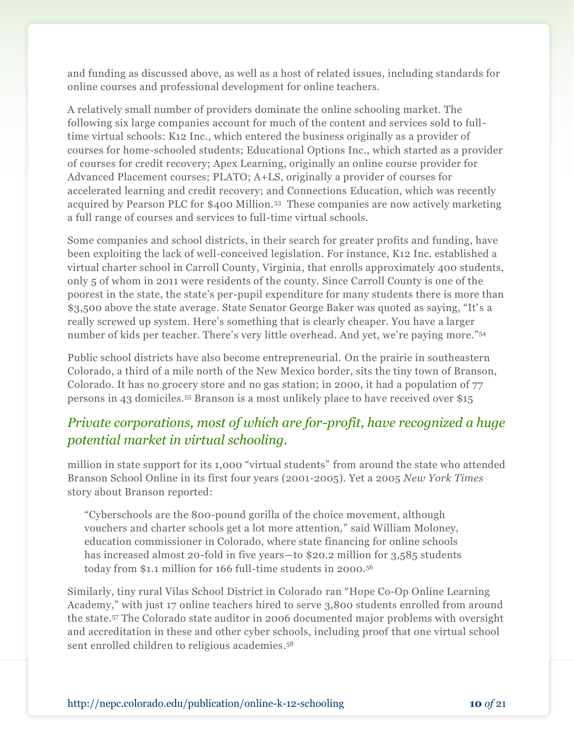and funding as discussed above, as well as a host of related issues, including standards for online courses and professional development for online teachers.

A relatively small number of providers dominate the online schooling market. The following six large companies account for much of the content and services sold to fulltime virtual schools: K12 Inc., which entered the business originally as a provider of courses for home-schooled students; Educational Options Inc., which started as a provider of courses for credit recovery; Apex Learning, originally an online course provider for Advanced Placement courses; PLATO; A+LS, originally a provider of courses for accelerated learning and credit recovery; and Connections Education, which was recently acquired by Pearson PLC for \$400 Million.<sup>53</sup> These companies are now actively marketing a full range of courses and services to full-time virtual schools.

Some companies and school districts, in their search for greater profits and funding, have been exploiting the lack of well-conceived legislation. For instance, K12 Inc. established a virtual charter school in Carroll County, Virginia, that enrolls approximately 400 students, only 5 of whom in 2011 were residents of the county. Since Carroll County is one of the poorest in the state, the state's per-pupil expenditure for many students there is more than \$3,500 above the state average. State Senator George Baker was quoted as saying, "It's a really screwed up system. Here's something that is clearly cheaper. You have a larger number of kids per teacher. There's very little overhead. And yet, we're paying more."54

Public school districts have also become entrepreneurial. On the prairie in southeastern Colorado, a third of a mile north of the New Mexico border, sits the tiny town of Branson, Colorado. It has no grocery store and no gas station; in 2000, it had a population of 77 persons in 43 domiciles.<sup>55</sup> Branson is a most unlikely place to have received over \$15

### *Private corporations, most of which are for-profit, have recognized a huge potential market in virtual schooling.*

million in state support for its 1,000 "virtual students" from around the state who attended Branson School Online in its first four years (2001-2005). Yet a 2005 *New York Times* story about Branson reported:

―Cyberschools are the 800-pound gorilla of the choice movement, although vouchers and charter schools get a lot more attention," said William Moloney, education commissioner in Colorado, where state financing for online schools has increased almost 20-fold in five years—to \$20.2 million for 3,585 students today from \$1.1 million for 166 full-time students in 2000.<sup>56</sup>

Similarly, tiny rural Vilas School District in Colorado ran "Hope Co-Op Online Learning Academy," with just 17 online teachers hired to serve 3,800 students enrolled from around the state.<sup>57</sup> The Colorado state auditor in 2006 documented major problems with oversight and accreditation in these and other cyber schools, including proof that one virtual school sent enrolled children to religious academies. 58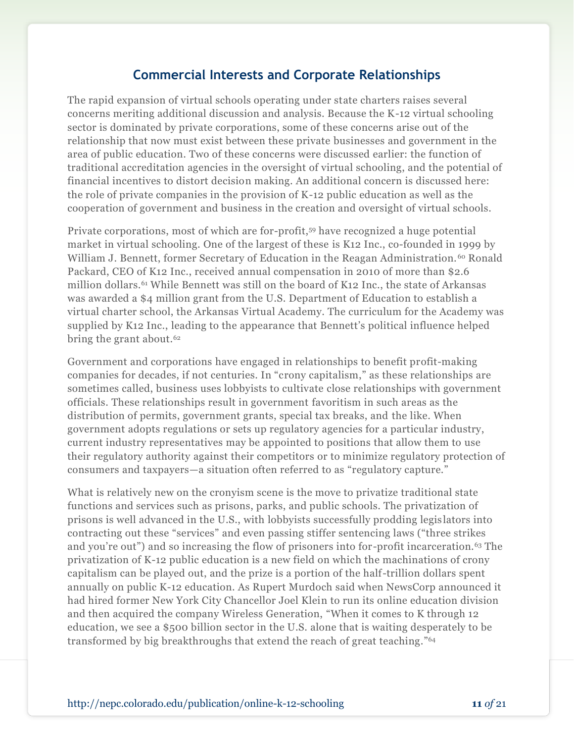### **Commercial Interests and Corporate Relationships**

The rapid expansion of virtual schools operating under state charters raises several concerns meriting additional discussion and analysis. Because the K-12 virtual schooling sector is dominated by private corporations, some of these concerns arise out of the relationship that now must exist between these private businesses and government in the area of public education. Two of these concerns were discussed earlier: the function of traditional accreditation agencies in the oversight of virtual schooling, and the potential of financial incentives to distort decision making. An additional concern is discussed here: the role of private companies in the provision of K-12 public education as well as the cooperation of government and business in the creation and oversight of virtual schools.

Private corporations, most of which are for-profit, <sup>59</sup> have recognized a huge potential market in virtual schooling. One of the largest of these is K12 Inc., co-founded in 1999 by William J. Bennett, former Secretary of Education in the Reagan Administration.<sup>60</sup> Ronald Packard, CEO of K12 Inc., received annual compensation in 2010 of more than \$2.6 million dollars.<sup>61</sup> While Bennett was still on the board of K12 Inc., the state of Arkansas was awarded a \$4 million grant from the U.S. Department of Education to establish a virtual charter school, the Arkansas Virtual Academy. The curriculum for the Academy was supplied by K12 Inc., leading to the appearance that Bennett's political influence helped bring the grant about.<sup>62</sup>

Government and corporations have engaged in relationships to benefit profit-making companies for decades, if not centuries. In "crony capitalism," as these relationships are sometimes called, business uses lobbyists to cultivate close relationships with government officials. These relationships result in government favoritism in such areas as the distribution of permits, government grants, special tax breaks, and the like. When government adopts regulations or sets up regulatory agencies for a particular industry, current industry representatives may be appointed to positions that allow them to use their regulatory authority against their competitors or to minimize regulatory protection of consumers and taxpayers—a situation often referred to as "regulatory capture."

What is relatively new on the cronyism scene is the move to privatize traditional state functions and services such as prisons, parks, and public schools. The privatization of prisons is well advanced in the U.S., with lobbyists successfully prodding legis lators into contracting out these "services" and even passing stiffer sentencing laws ("three strikes") and you're out") and so increasing the flow of prisoners into for-profit incarceration.<sup>63</sup> The privatization of K-12 public education is a new field on which the machinations of crony capitalism can be played out, and the prize is a portion of the half-trillion dollars spent annually on public K-12 education. As Rupert Murdoch said when NewsCorp announced it had hired former New York City Chancellor Joel Klein to run its online education division and then acquired the company Wireless Generation, "When it comes to K through 12 education, we see a \$500 billion sector in the U.S. alone that is waiting desperately to be transformed by big breakthroughs that extend the reach of great teaching."<sup>64</sup>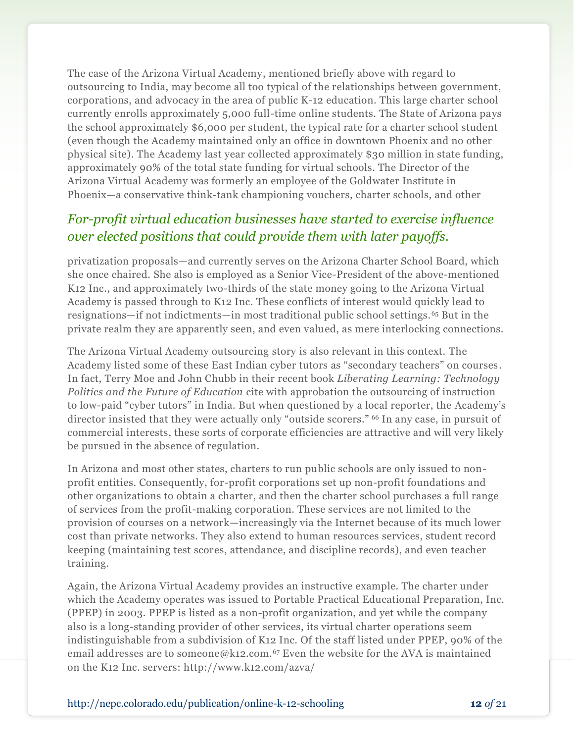The case of the Arizona Virtual Academy, mentioned briefly above with regard to outsourcing to India, may become all too typical of the relationships between government, corporations, and advocacy in the area of public K-12 education. This large charter school currently enrolls approximately 5,000 full-time online students. The State of Arizona pays the school approximately \$6,000 per student, the typical rate for a charter school student (even though the Academy maintained only an office in downtown Phoenix and no other physical site). The Academy last year collected approximately \$30 million in state funding, approximately 90% of the total state funding for virtual schools. The Director of the Arizona Virtual Academy was formerly an employee of the Goldwater Institute in Phoenix—a conservative think-tank championing vouchers, charter schools, and other

### *For-profit virtual education businesses have started to exercise influence over elected positions that could provide them with later payoffs.*

privatization proposals—and currently serves on the Arizona Charter School Board, which she once chaired. She also is employed as a Senior Vice-President of the above-mentioned K12 Inc., and approximately two-thirds of the state money going to the Arizona Virtual Academy is passed through to K12 Inc. These conflicts of interest would quickly lead to resignations—if not indictments—in most traditional public school settings.<sup>65</sup> But in the private realm they are apparently seen, and even valued, as mere interlocking connections.

The Arizona Virtual Academy outsourcing story is also relevant in this context. The Academy listed some of these East Indian cyber tutors as "secondary teachers" on courses. In fact, Terry Moe and John Chubb in their recent book *Liberating Learning: Technology Politics and the Future of Education* cite with approbation the outsourcing of instruction to low-paid "cyber tutors" in India. But when questioned by a local reporter, the Academy's director insisted that they were actually only "outside scorers." <sup>66</sup> In any case, in pursuit of commercial interests, these sorts of corporate efficiencies are attractive and will very likely be pursued in the absence of regulation.

In Arizona and most other states, charters to run public schools are only issued to nonprofit entities. Consequently, for-profit corporations set up non-profit foundations and other organizations to obtain a charter, and then the charter school purchases a full range of services from the profit-making corporation. These services are not limited to the provision of courses on a network—increasingly via the Internet because of its much lower cost than private networks. They also extend to human resources services, student record keeping (maintaining test scores, attendance, and discipline records), and even teacher training.

Again, the Arizona Virtual Academy provides an instructive example. The charter under which the Academy operates was issued to Portable Practical Educational Preparation, Inc. (PPEP) in 2003. PPEP is listed as a non-profit organization, and yet while the company also is a long-standing provider of other services, its virtual charter operations seem indistinguishable from a subdivision of K12 Inc. Of the staff listed under PPEP, 90% of the email addresses are to someone@k12.com.<sup>67</sup> Even the website for the AVA is maintained on the K12 Inc. servers: http://www.k12.com/azva/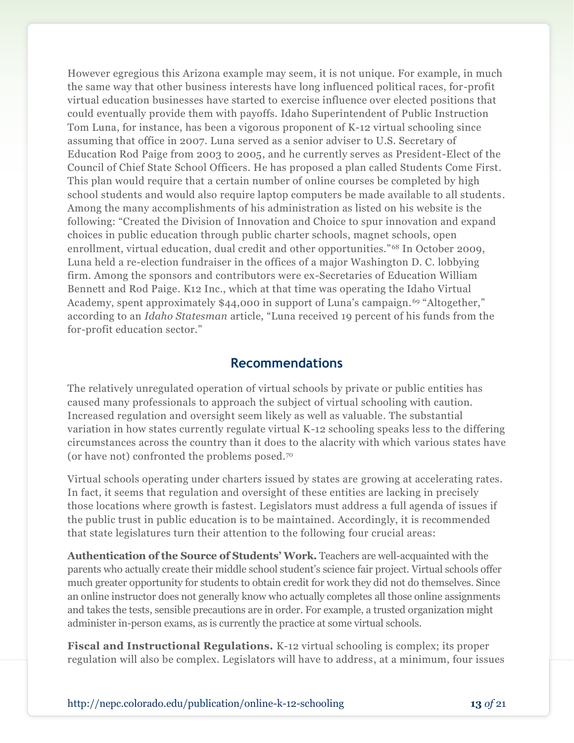However egregious this Arizona example may seem, it is not unique. For example, in much the same way that other business interests have long influenced political races, for-profit virtual education businesses have started to exercise influence over elected positions that could eventually provide them with payoffs. Idaho Superintendent of Public Instruction Tom Luna, for instance, has been a vigorous proponent of K-12 virtual schooling since assuming that office in 2007. Luna served as a senior adviser to U.S. Secretary of Education Rod Paige from 2003 to 2005, and he currently serves as President-Elect of the Council of Chief State School Officers. He has proposed a plan called Students Come First. This plan would require that a certain number of online courses be completed by high school students and would also require laptop computers be made available to all students. Among the many accomplishments of his administration as listed on his website is the following: "Created the Division of Innovation and Choice to spur innovation and expand choices in public education through public charter schools, magnet schools, open enrollment, virtual education, dual credit and other opportunities."<sup>68</sup> In October 2009, Luna held a re-election fundraiser in the offices of a major Washington D. C. lobbying firm. Among the sponsors and contributors were ex-Secretaries of Education William Bennett and Rod Paige. K12 Inc., which at that time was operating the Idaho Virtual Academy, spent approximately \$44,000 in support of Luna's campaign.<sup>69</sup> "Altogether," according to an *Idaho Statesman* article, "Luna received 19 percent of his funds from the for-profit education sector."

#### **Recommendations**

The relatively unregulated operation of virtual schools by private or public entities has caused many professionals to approach the subject of virtual schooling with caution. Increased regulation and oversight seem likely as well as valuable. The substantial variation in how states currently regulate virtual K-12 schooling speaks less to the differing circumstances across the country than it does to the alacrity with which various states have (or have not) confronted the problems posed.<sup>70</sup>

Virtual schools operating under charters issued by states are growing at accelerating rates. In fact, it seems that regulation and oversight of these entities are lacking in precisely those locations where growth is fastest. Legislators must address a full agenda of issues if the public trust in public education is to be maintained. Accordingly, it is recommended that state legislatures turn their attention to the following four crucial areas:

**Authentication of the Source of Students' Work.** Teachers are well-acquainted with the parents who actually create their middle school student's science fair project. Virtual schools offer much greater opportunity for students to obtain credit for work they did not do themselves. Since an online instructor does not generally know who actually completes all those online assignments and takes the tests, sensible precautions are in order. For example, a trusted organization might administer in-person exams, as is currently the practice at some virtual schools.

**Fiscal and Instructional Regulations.** K-12 virtual schooling is complex; its proper regulation will also be complex. Legislators will have to address, at a minimum, four issues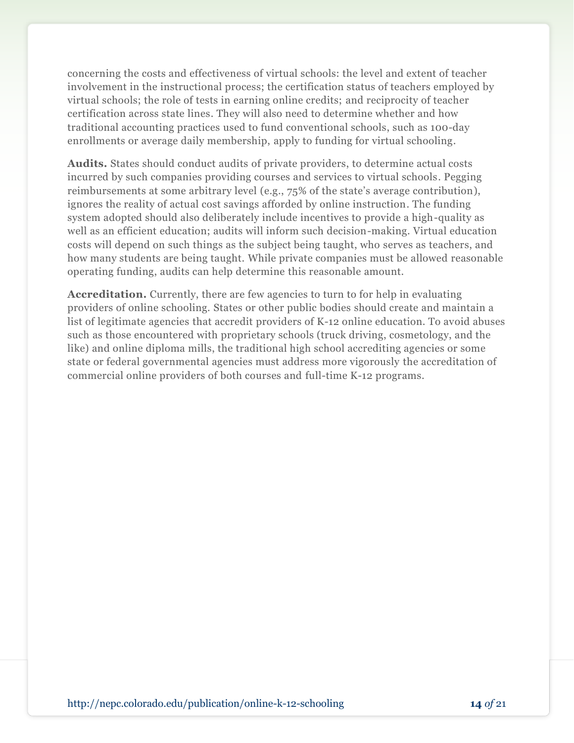concerning the costs and effectiveness of virtual schools: the level and extent of teacher involvement in the instructional process; the certification status of teachers employed by virtual schools; the role of tests in earning online credits; and reciprocity of teacher certification across state lines. They will also need to determine whether and how traditional accounting practices used to fund conventional schools, such as 100-day enrollments or average daily membership, apply to funding for virtual schooling.

**Audits.** States should conduct audits of private providers, to determine actual costs incurred by such companies providing courses and services to virtual schools. Pegging reimbursements at some arbitrary level (e.g., 75% of the state's average contribution), ignores the reality of actual cost savings afforded by online instruction. The funding system adopted should also deliberately include incentives to provide a high-quality as well as an efficient education; audits will inform such decision-making. Virtual education costs will depend on such things as the subject being taught, who serves as teachers, and how many students are being taught. While private companies must be allowed reasonable operating funding, audits can help determine this reasonable amount.

**Accreditation.** Currently, there are few agencies to turn to for help in evaluating providers of online schooling. States or other public bodies should create and maintain a list of legitimate agencies that accredit providers of K-12 online education. To avoid abuses such as those encountered with proprietary schools (truck driving, cosmetology, and the like) and online diploma mills, the traditional high school accrediting agencies or some state or federal governmental agencies must address more vigorously the accreditation of commercial online providers of both courses and full-time K-12 programs.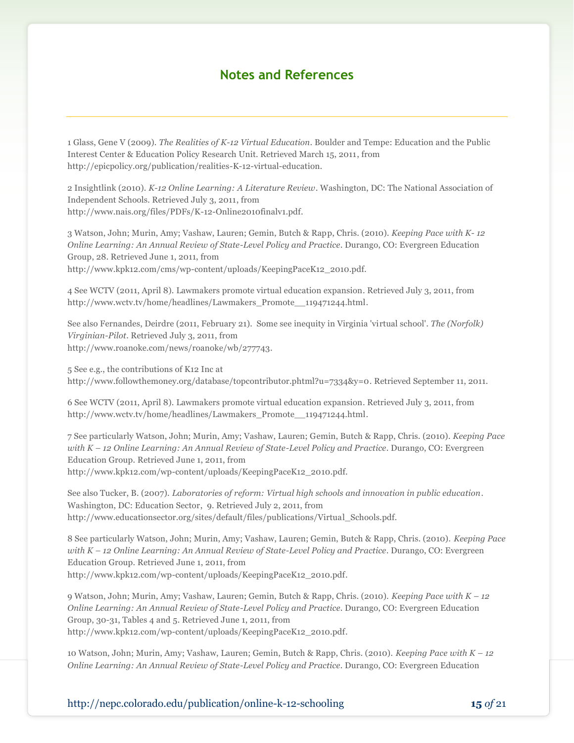#### **Notes and References**

1 Glass, Gene V (2009). *The Realities of K-12 Virtual Education*. Boulder and Tempe: Education and the Public Interest Center & Education Policy Research Unit. Retrieved March 15, 2011, from http://epicpolicy.org/publication/realities-K-12-virtual-education.

2 Insightlink (2010). *K-12 Online Learning: A Literature Review*. Washington, DC: The National Association of Independent Schools. Retrieved July 3, 2011, from http://www.nais.org/files/PDFs/K-12-Online2010finalv1.pdf.

3 Watson, John; Murin, Amy; Vashaw, Lauren; Gemin, Butch & Rapp, Chris. (2010). *Keeping Pace with K- 12 Online Learning: An Annual Review of State-Level Policy and Practice*. Durango, CO: Evergreen Education Group, 28. Retrieved June 1, 2011, from http://www.kpk12.com/cms/wp-content/uploads/KeepingPaceK12\_2010.pdf.

4 See WCTV (2011, April 8). Lawmakers promote virtual education expansion. Retrieved July 3, 2011, from

http://www.wctv.tv/home/headlines/Lawmakers\_Promote\_\_119471244.html.

See also Fernandes, Deirdre (2011, February 21). Some see inequity in Virginia 'virtual school'. *The (Norfolk) Virginian-Pilot*. Retrieved July 3, 2011, from http://www.roanoke.com/news/roanoke/wb/277743.

5 See e.g., the contributions of K12 Inc at http://www.followthemoney.org/database/topcontributor.phtml?u=7334&y=0. Retrieved September 11, 2011.

6 See WCTV (2011, April 8). Lawmakers promote virtual education expansion. Retrieved July 3, 2011, from http://www.wctv.tv/home/headlines/Lawmakers\_Promote\_\_119471244.html.

7 See particularly Watson, John; Murin, Amy; Vashaw, Lauren; Gemin, Butch & Rapp, Chris. (2010). *Keeping Pace with K – 12 Online Learning: An Annual Review of State-Level Policy and Practice*. Durango, CO: Evergreen Education Group. Retrieved June 1, 2011, from http://www.kpk12.com/wp-content/uploads/KeepingPaceK12\_2010.pdf.

See also Tucker, B. (2007). *Laboratories of reform: Virtual high schools and innovation in public education*. Washington, DC: Education Sector, 9. Retrieved July 2, 2011, from http://www.educationsector.org/sites/default/files/publications/Virtual\_Schools.pdf.

8 See particularly Watson, John; Murin, Amy; Vashaw, Lauren; Gemin, Butch & Rapp, Chris. (2010). *Keeping Pace with K – 12 Online Learning: An Annual Review of State-Level Policy and Practice*. Durango, CO: Evergreen Education Group. Retrieved June 1, 2011, from http://www.kpk12.com/wp-content/uploads/KeepingPaceK12\_2010.pdf.

9 Watson, John; Murin, Amy; Vashaw, Lauren; Gemin, Butch & Rapp, Chris. (2010). *Keeping Pace with K – 12 Online Learning: An Annual Review of State-Level Policy and Practice*. Durango, CO: Evergreen Education Group, 30-31, Tables 4 and 5. Retrieved June 1, 2011, from http://www.kpk12.com/wp-content/uploads/KeepingPaceK12\_2010.pdf.

10 Watson, John; Murin, Amy; Vashaw, Lauren; Gemin, Butch & Rapp, Chris. (2010). *Keeping Pace with K – 12 Online Learning: An Annual Review of State-Level Policy and Practice.* Durango, CO: Evergreen Education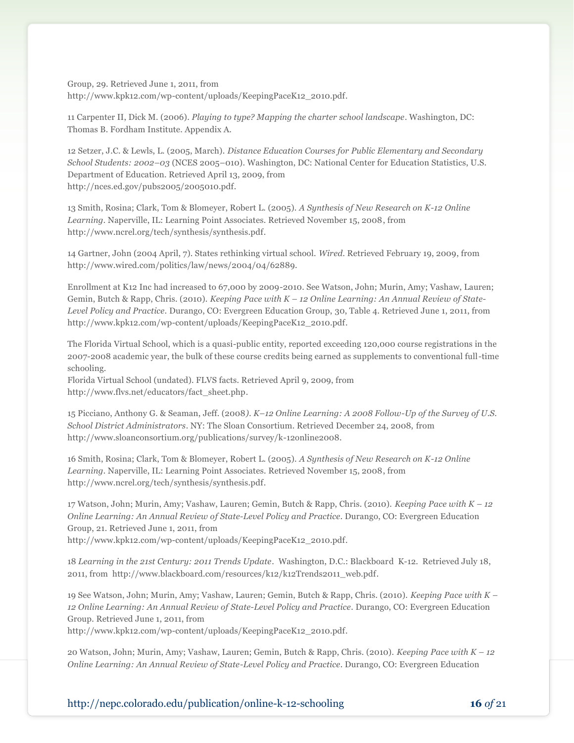Group, 29. Retrieved June 1, 2011, from http://www.kpk12.com/wp-content/uploads/KeepingPaceK12\_2010.pdf.

11 Carpenter II, Dick M. (2006). *Playing to type? Mapping the charter school landscape*. Washington, DC: Thomas B. Fordham Institute. Appendix A.

12 Setzer, J.C. & Lewls, L. (2005, March). *Distance Education Courses for Public Elementary and Secondary School Students: 2002–03* (NCES 2005–010). Washington, DC: National Center for Education Statistics, U.S. Department of Education. Retrieved April 13, 2009, from http://nces.ed.gov/pubs2005/2005010.pdf.

13 Smith, Rosina; Clark, Tom & Blomeyer, Robert L. (2005). *A Synthesis of New Research on K-12 Online Learning.* Naperville, IL: Learning Point Associates. Retrieved November 15, 2008, from http://www.ncrel.org/tech/synthesis/synthesis.pdf.

14 Gartner, John (2004 April, 7). States rethinking virtual school. *Wired.* Retrieved February 19, 2009, from http://www.wired.com/politics/law/news/2004/04/62889.

Enrollment at K12 Inc had increased to 67,000 by 2009-2010. See Watson, John; Murin, Amy; Vashaw, Lauren; Gemin, Butch & Rapp, Chris. (2010). *Keeping Pace with K – 12 Online Learning: An Annual Review of State-Level Policy and Practice.* Durango, CO: Evergreen Education Group, 30, Table 4. Retrieved June 1, 2011, from http://www.kpk12.com/wp-content/uploads/KeepingPaceK12\_2010.pdf.

The Florida Virtual School, which is a quasi-public entity, reported exceeding 120,000 course registrations in the 2007-2008 academic year, the bulk of these course credits being earned as supplements to conventional full-time schooling.

Florida Virtual School (undated). FLVS facts. Retrieved April 9, 2009, from http://www.flvs.net/educators/fact\_sheet.php.

15 Picciano, Anthony G. & Seaman, Jeff. (2008*). K–12 Online Learning: A 2008 Follow-Up of the Survey of U.S. School District Administrators*. NY: The Sloan Consortium. Retrieved December 24, 2008, from http://www.sloanconsortium.org/publications/survey/k-12online2008.

16 Smith, Rosina; Clark, Tom & Blomeyer, Robert L. (2005). *A Synthesis of New Research on K-12 Online Learning.* Naperville, IL: Learning Point Associates. Retrieved November 15, 2008, from http://www.ncrel.org/tech/synthesis/synthesis.pdf.

17 Watson, John; Murin, Amy; Vashaw, Lauren; Gemin, Butch & Rapp, Chris. (2010). *Keeping Pace with K – 12 Online Learning: An Annual Review of State-Level Policy and Practice.* Durango, CO: Evergreen Education Group, 21. Retrieved June 1, 2011, from http://www.kpk12.com/wp-content/uploads/KeepingPaceK12\_2010.pdf.

18 *Learning in the 21st Century: 2011 Trends Update*. Washington, D.C.: Blackboard K-12. Retrieved July 18, 2011, from http://www.blackboard.com/resources/k12/k12Trends2011\_web.pdf.

19 See Watson, John; Murin, Amy; Vashaw, Lauren; Gemin, Butch & Rapp, Chris. (2010). *Keeping Pace with K – 12 Online Learning: An Annual Review of State-Level Policy and Practice*. Durango, CO: Evergreen Education Group. Retrieved June 1, 2011, from

http://www.kpk12.com/wp-content/uploads/KeepingPaceK12\_2010.pdf.

20 Watson, John; Murin, Amy; Vashaw, Lauren; Gemin, Butch & Rapp, Chris. (2010). *Keeping Pace with K – 12 Online Learning: An Annual Review of State-Level Policy and Practice*. Durango, CO: Evergreen Education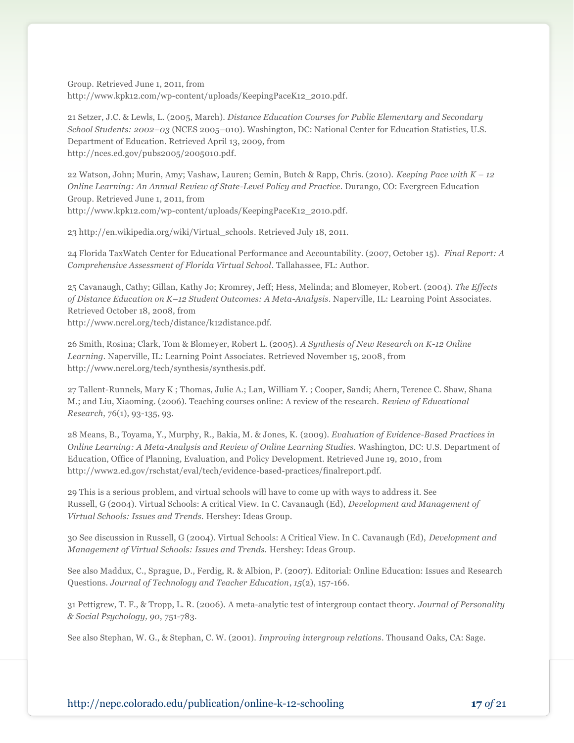Group. Retrieved June 1, 2011, from http://www.kpk12.com/wp-content/uploads/KeepingPaceK12\_2010.pdf.

21 Setzer, J.C. & Lewls, L. (2005, March). *Distance Education Courses for Public Elementary and Secondary School Students: 2002–03* (NCES 2005–010). Washington, DC: National Center for Education Statistics, U.S. Department of Education. Retrieved April 13, 2009, from http://nces.ed.gov/pubs2005/2005010.pdf.

22 Watson, John; Murin, Amy; Vashaw, Lauren; Gemin, Butch & Rapp, Chris. (2010). *Keeping Pace with K – 12 Online Learning: An Annual Review of State-Level Policy and Practice*. Durango, CO: Evergreen Education Group. Retrieved June 1, 2011, from http://www.kpk12.com/wp-content/uploads/KeepingPaceK12\_2010.pdf.

23 [http://en.wikipedia.org/wiki/Virtual\\_schools.](http://en.wikipedia.org/wiki/Virtual_schools) Retrieved July 18, 2011.

24 Florida TaxWatch Center for Educational Performance and Accountability. (2007, October 15). *Final Report: A Comprehensive Assessment of Florida Virtual School*. Tallahassee, FL: Author.

25 Cavanaugh, Cathy; Gillan, Kathy Jo; Kromrey, Jeff; Hess, Melinda; and Blomeyer, Robert. (2004). *The Effects of Distance Education on K–12 Student Outcomes: A Meta-Analysis*. Naperville, IL: Learning Point Associates. Retrieved October 18, 2008, from http://www.ncrel.org/tech/distance/k12distance.pdf.

26 Smith, Rosina; Clark, Tom & Blomeyer, Robert L. (2005). *A Synthesis of New Research on K-12 Online Learning.* Naperville, IL: Learning Point Associates. Retrieved November 15, 2008, from http://www.ncrel.org/tech/synthesis/synthesis.pdf.

27 Tallent-Runnels, Mary K ; Thomas, Julie A.; Lan, William Y. ; Cooper, Sandi; Ahern, Terence C. Shaw, Shana M.; and Liu, Xiaoming. (2006). Teaching courses online: A review of the research. *Review of Educational Research*, 76(1), 93-135, 93.

28 Means, B., Toyama, Y., Murphy, R., Bakia, M. & Jones, K. (2009). *Evaluation of Evidence-Based Practices in Online Learning: A Meta-Analysis and Review of Online Learning Studies.* Washington, DC: U.S. Department of Education, Office of Planning, Evaluation, and Policy Development. Retrieved June 19, 2010, from http://www2.ed.gov/rschstat/eval/tech/evidence-based-practices/finalreport.pdf.

29 This is a serious problem, and virtual schools will have to come up with ways to address it. See Russell, G (2004). Virtual Schools: A critical View. In C. Cavanaugh (Ed), *Development and Management of Virtual Schools: Issues and Trends.* Hershey: Ideas Group.

30 See discussion in Russell, G (2004). Virtual Schools: A Critical View. In C. Cavanaugh (Ed), *Development and Management of Virtual Schools: Issues and Trends.* Hershey: Ideas Group.

See also Maddux, C., Sprague, D., Ferdig, R. & Albion, P. (2007). Editorial: Online Education: Issues and Research Questions. *Journal of Technology and Teacher Education*, *15*(2), 157-166.

31 Pettigrew, T. F., & Tropp, L. R. (2006). A meta-analytic test of intergroup contact theory. *Journal of Personality & Social Psychology, 90*, 751-783.

See also Stephan, W. G., & Stephan, C. W. (2001). *Improving intergroup relations*. Thousand Oaks, CA: Sage.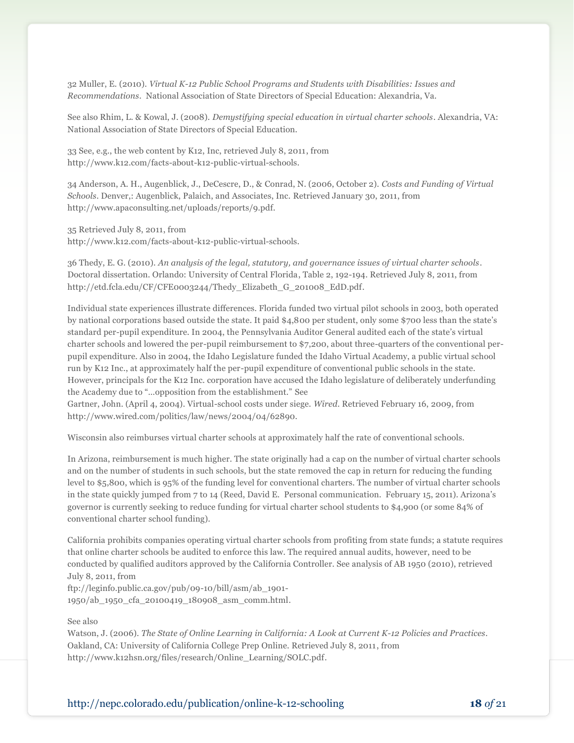32 Muller, E. (2010). *Virtual K-12 Public School Programs and Students with Disabilities: Issues and Recommendations*. National Association of State Directors of Special Education: Alexandria, Va.

See also Rhim, L. & Kowal, J. (2008). *Demystifying special education in virtual charter schools*. Alexandria, VA: National Association of State Directors of Special Education.

33 See, e.g., the web content by K12, Inc, retrieved July 8, 2011, from http://www.k12.com/facts-about-k12-public-virtual-schools.

34 Anderson, A. H., Augenblick, J., DeCescre, D., & Conrad, N. (2006, October 2). *Costs and Funding of Virtual Schools*. Denver,: Augenblick, Palaich, and Associates, Inc. Retrieved January 30, 2011, from http://www.apaconsulting.net/uploads/reports/9.pdf.

35 Retrieved July 8, 2011, from

http://www.k12.com/facts-about-k12-public-virtual-schools.

36 Thedy, E. G. (2010). *An analysis of the legal, statutory, and governance issues of virtual charter schools*. Doctoral dissertation. Orlando: University of Central Florida, Table 2, 192-194. Retrieved July 8, 2011, from http://etd.fcla.edu/CF/CFE0003244/Thedy\_Elizabeth\_G\_201008\_EdD.pdf.

Individual state experiences illustrate differences. Florida funded two virtual pilot schools in 2003, both operated by national corporations based outside the state. It paid \$4,800 per student, only some \$700 less than the state's standard per-pupil expenditure. In 2004, the Pennsylvania Auditor General audited each of the state's virtual charter schools and lowered the per-pupil reimbursement to \$7,200, about three-quarters of the conventional perpupil expenditure. Also in 2004, the Idaho Legislature funded the Idaho Virtual Academy, a public virtual school run by K12 Inc., at approximately half the per-pupil expenditure of conventional public schools in the state. However, principals for the K12 Inc. corporation have accused the Idaho legislature of deliberately underfunding the Academy due to "...opposition from the establishment." See

Gartner, John. (April 4, 2004). Virtual-school costs under siege. *Wired*. Retrieved February 16, 2009, from http://www.wired.com/politics/law/news/2004/04/62890.

Wisconsin also reimburses virtual charter schools at approximately half the rate of conventional schools.

In Arizona, reimbursement is much higher. The state originally had a cap on the number of virtual charter schools and on the number of students in such schools, but the state removed the cap in return for reducing the funding level to \$5,800, which is 95% of the funding level for conventional charters. The number of virtual charter schools in the state quickly jumped from 7 to 14 (Reed, David E. Personal communication. February 15, 2011). Arizona's governor is currently seeking to reduce funding for virtual charter school students to \$4,900 (or some 84% of conventional charter school funding).

California prohibits companies operating virtual charter schools from profiting from state funds; a statute requires that online charter schools be audited to enforce this law. The required annual audits, however, need to be conducted by qualified auditors approved by the California Controller. See analysis of AB 1950 (2010), retrieved July 8, 2011, from

ftp://leginfo.public.ca.gov/pub/09-10/bill/asm/ab\_1901- 1950/ab\_1950\_cfa\_20100419\_180908\_asm\_comm.html.

#### See also

Watson, J. (2006). *The State of Online Learning in California: A Look at Current K-12 Policies and Practices*. Oakland, CA: University of California College Prep Online. Retrieved July 8, 2011, from http://www.k12hsn.org/files/research/Online\_Learning/SOLC.pdf.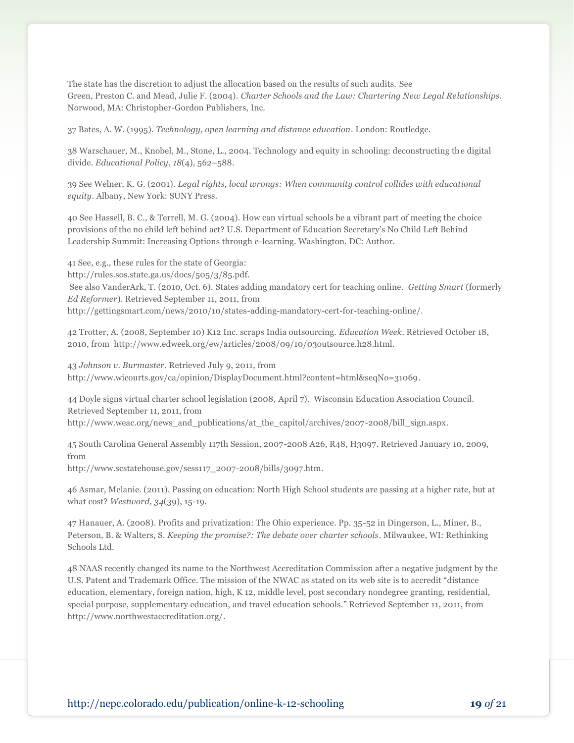The state has the discretion to adjust the allocation based on the results of such audits. See Green, Preston C. and Mead, Julie F. (2004). *Charter Schools and the Law: Chartering New Legal Relationships*. Norwood, MA: Christopher-Gordon Publishers, Inc.

37 Bates, A. W. (1995). *Technology, open learning and distance education*. London: Routledge.

38 Warschauer, M., Knobel, M., Stone, L., 2004. Technology and equity in schooling: deconstructing the digital divide. *Educational Policy*, *18*(4), 562–588.

39 See Welner, K. G. (2001). *Legal rights, local wrongs: When community control collides with educational equity*. Albany, New York: SUNY Press.

40 See Hassell, B. C., & Terrell, M. G. (2004). How can virtual schools be a vibrant part of meeting the choice provisions of the no child left behind act? U.S. Department of Education Secretary's No Child Left Behind Leadership Summit: Increasing Options through e-learning. Washington, DC: Author.

41 See, e.g., these rules for the state of Georgia: http://rules.sos.state.ga.us/docs/505/3/85.pdf. See also VanderArk, T. (2010, Oct. 6). States adding mandatory cert for teaching online. *Getting Smart* (formerly *Ed Reformer*). Retrieved September 11, 2011, from http://gettingsmart.com/news/2010/10/states-adding-mandatory-cert-for-teaching-online/.

42 Trotter, A. (2008, September 10) K12 Inc. scraps India outsourcing. *Education Week*. Retrieved October 18, 2010, from http://www.edweek.org/ew/articles/2008/09/10/03outsource.h28.html.

43 *Johnson v. Burmaster*. Retrieved July 9, 2011, from http://www.wicourts.gov/ca/opinion/DisplayDocument.html?content=html&seqNo=31069.

44 Doyle signs virtual charter school legislation (2008, April 7). Wisconsin Education Association Council. Retrieved September 11, 2011, from http://www.weac.org/news\_and\_publications/at\_the\_capitol/archives/2007-2008/bill\_sign.aspx.

45 South Carolina General Assembly 117th Session, 2007-2008 A26, R48, H3097. Retrieved January 10, 2009, from

http://www.scstatehouse.gov/sess117\_2007-2008/bills/3097.htm.

46 Asmar, Melanie. (2011). Passing on education: North High School students are passing at a higher rate, but at what cost? *Westword, 34*(39), 15-19.

47 Hanauer, A. (2008). Profits and privatization: The Ohio experience. Pp. 35-52 in Dingerson, L., Miner, B., Peterson, B. & Walters, S. *Keeping the promise?: The debate over charter schools*. Milwaukee, WI: Rethinking Schools Ltd.

48 NAAS recently changed its name to the Northwest Accreditation Commission after a negative judgment by the U.S. Patent and Trademark Office. The mission of the NWAC as stated on its web site is to accredit "distance" education, elementary, foreign nation, high, K 12, middle level, post secondary nondegree granting, residential, special purpose, supplementary education, and travel education schools." Retrieved September 11, 2011, from http://www.northwestaccreditation.org/.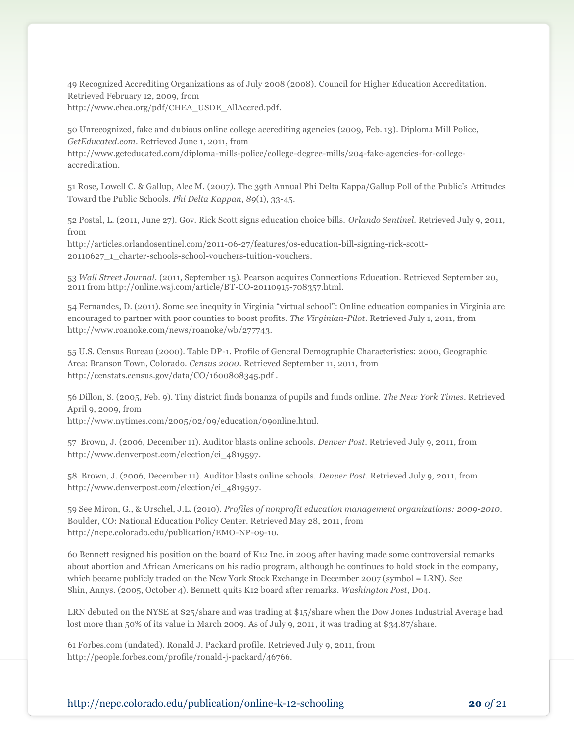49 Recognized Accrediting Organizations as of July 2008 (2008). Council for Higher Education Accreditation. Retrieved February 12, 2009, from

http://www.chea.org/pdf/CHEA\_USDE\_AllAccred.pdf.

50 Unrecognized, fake and dubious online college accrediting agencies (2009, Feb. 13). Diploma Mill Police, *GetEducated.com*. Retrieved June 1, 2011, from

http://www.geteducated.com/diploma-mills-police/college-degree-mills/204-fake-agencies-for-collegeaccreditation.

51 Rose, Lowell C. & Gallup, Alec M. (2007). The 39th Annual Phi Delta Kappa/Gallup Poll of the Public's Attitudes Toward the Public Schools. *Phi Delta Kappan*, *89*(1), 33-45.

52 Postal, L. (2011, June 27). Gov. Rick Scott signs education choice bills. *Orlando Sentinel*. Retrieved July 9, 2011, from

http://articles.orlandosentinel.com/2011-06-27/features/os-education-bill-signing-rick-scott-20110627\_1\_charter-schools-school-vouchers-tuition-vouchers.

53 *Wall Street Journal*. (2011, September 15). Pearson acquires Connections Education. Retrieved September 20, 2011 from http://online.wsj.com/article/BT-CO-20110915-708357.html.

54 Fernandes, D. (2011). Some see inequity in Virginia "virtual school": Online education companies in Virginia are encouraged to partner with poor counties to boost profits. *The Virginian-Pilot*. Retrieved July 1, 2011, from http://www.roanoke.com/news/roanoke/wb/277743.

55 U.S. Census Bureau (2000). Table DP-1. Profile of General Demographic Characteristics: 2000, Geographic Area: Branson Town, Colorado. *Census 2000*. Retrieved September 11, 2011, from http://censtats.census.gov/data/CO/1600808345.pdf .

56 Dillon, S. (2005, Feb. 9). Tiny district finds bonanza of pupils and funds online. *The New York Times*. Retrieved April 9, 2009, from

http://www.nytimes.com/2005/02/09/education/09online.html.

57 Brown, J. (2006, December 11). Auditor blasts online schools. *Denver Post*. Retrieved July 9, 2011, from http://www.denverpost.com/election/ci\_4819597.

58 Brown, J. (2006, December 11). Auditor blasts online schools. *Denver Post*. Retrieved July 9, 2011, from http://www.denverpost.com/election/ci\_4819597.

59 See Miron, G., & Urschel, J.L. (2010). *Profiles of nonprofit education management organizations: 2009-2010*. Boulder, CO: National Education Policy Center. Retrieved May 28, 2011, from http://nepc.colorado.edu/publication/EMO-NP-09-10.

60 Bennett resigned his position on the board of K12 Inc. in 2005 after having made some controversial remarks about abortion and African Americans on his radio program, although he continues to hold stock in the company, which became publicly traded on the New York Stock Exchange in December 2007 (symbol = LRN). See Shin, Annys. (2005, October 4). Bennett quits K12 board after remarks. *Washington Post*, D04.

LRN debuted on the NYSE at \$25/share and was trading at \$15/share when the Dow Jones Industrial Average had lost more than 50% of its value in March 2009. As of July 9, 2011, it was trading at \$34.87/share.

61 Forbes.com (undated). Ronald J. Packard profile. Retrieved July 9, 2011, from http://people.forbes.com/profile/ronald-j-packard/46766.